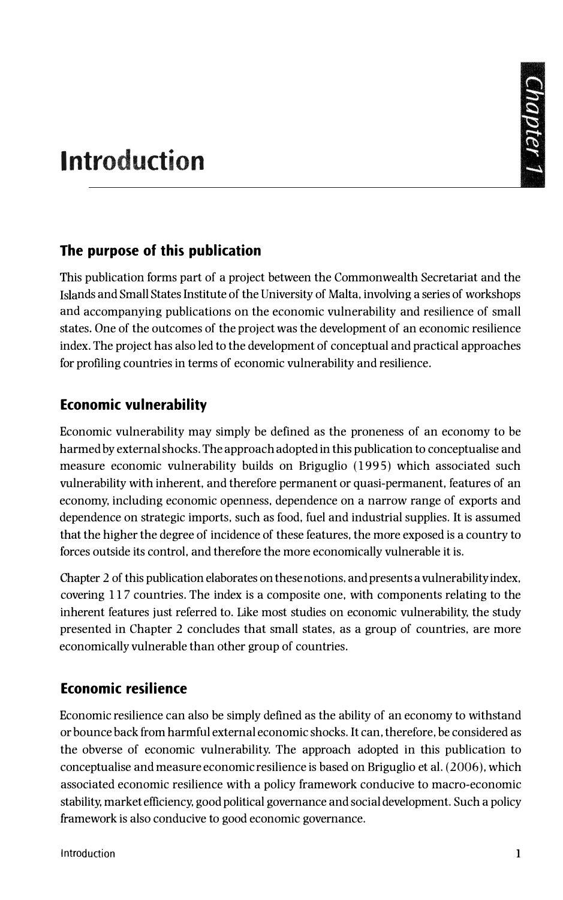# **Introduction**

## **The purpose of this publication**

This publication forms part of a project between the Commonwealth Secretariat and the Islands and Small States Institute of the University of Malta, involving a series of workshops and accompanying publications on the economic vulnerability and resilience of small states. One of the outcomes of the project was the development of an economic resilience index. The project has also led to the development of conceptual and practical approaches for profiling countries in terms of economic vulnerability and resilience.

# **Economic vulnerability**

Economic vulnerability may simply be defined as the proneness of an economy to be harmed by external shocks. The approach adopted in this publication to conceptualise and measure economic vulnerability builds on Briguglio (1995) which associated such vulnerability with inherent, and therefore permanent or quasi-permanent, features of an economy, including economic openness, dependence on a narrow range of exports and dependence on strategic imports, such as food, fuel and industrial supplies. It is assumed that the higher the degree of incidence of these features, the more exposed is a country to forces outside its control, and therefore the more economically vulnerable it is.

Chapter 2 of this publication elaborates on these notions, and presents a vulnerability index, covering 117 countries. The index is a composite one, with components relating to the inherent features just referred to. Like most studies on economic vulnerability, the study presented in Chapter 2 concludes that small states, as a group of countries, are more economically vulnerable than other group of countries.

## **Economic resilience**

Economic resilience can also be simply defined as the ability of an economy to withstand or bounce back from harmful external economic shocks. It can, therefore, be considered as the obverse of economic vulnerability. The approach adopted in this publication to conceptualise and measure economic resilience is based on Briguglio et al. (2006), which associated economic resilience with a policy framework conducive to macro-economic stability, market efficiency, good political governance and social development. Such a policy framework is also conducive to good economic governance.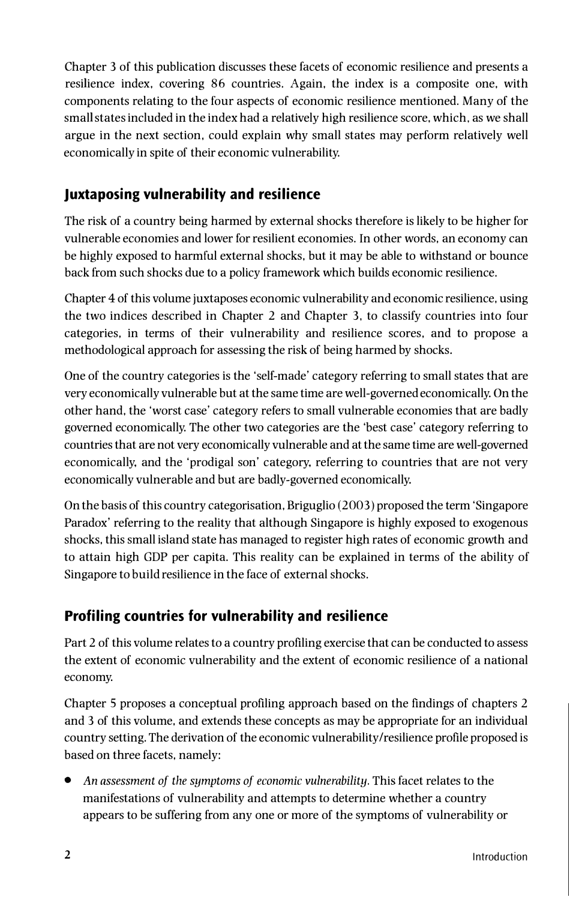Chapter 3 of this publication discusses these facets of economic resilience and presents a resilience index, covering 86 countries. Again, the index is a composite one, with components relating to the four aspects of economic resilience mentioned. Many of the small states included in the index had a relatively high resilience score, which. as we shall argue in the next section, could explain why small states may perform relatively well economically in spite of their economic vulnerability.

## **Juxtaposing vulnerability and resilience**

The risk of a country being harmed by external shocks therefore is likely to be higher for vulnerable economies and lower for resilient economies. In other words, an economy can be highly exposed to harmful external shocks, but it may be able to withstand or bounce back from such shocks due to a policy framework which builds economic resilience.

Chapter 4 of this volume juxtaposes economic vulnerability and economic resilience, using the two indices described in Chapter 2 and Chapter 3. to classify countries into four categories, in terms of their vulnerability and resilience scores, and to propose a methodological approach for assessing the risk of being harmed by shocks.

One of the country categories is the 'self-made' category referring to small states that are very economically vulnerable but at the same time are well-governed economically. On the other hand, the 'worst case' category refers to small vulnerable economies that are badly governed economically. The other two categories are the 'best case' category referring to countries that are not very economically vulnerable and at the same time are well-governed economically, and the 'prodigal son' category, referring to countries that are not very economically vulnerable and but are badly-governed economically.

On the basis of this country categorisation, Briguglio (2003) proposed the term 'Singapore Paradox' referring to the reality that although Singapore is highly exposed to exogenous shocks, this small island state has managed to register high rates of economic growth and to attain high GDP per capita. This reality can be explained in terms of the ability of Singapore to build resilience in the face of external shocks.

## **Profiling countries for vulnerability and resilience**

Part 2 of this volume relates to a country profiling exercise that can be conducted to assess the extent of economic vulnerability and the extent of economic resilience of a national economy.

Chapter 5 proposes a conceptual profiling approach based on the findings of chapters 2 and 3 of this volume, and extends these concepts as may be appropriate for an individual country setting. The derivation of the economic vulnerability/resilience profile proposed is based on three facets, namely:

• *An assessment of the symptoms of economic vulnerability.* This facet relates to the manifestations of vulnerability and attempts to determine whether a country appears to be suffering from any one or more of the symptoms of vulnerability or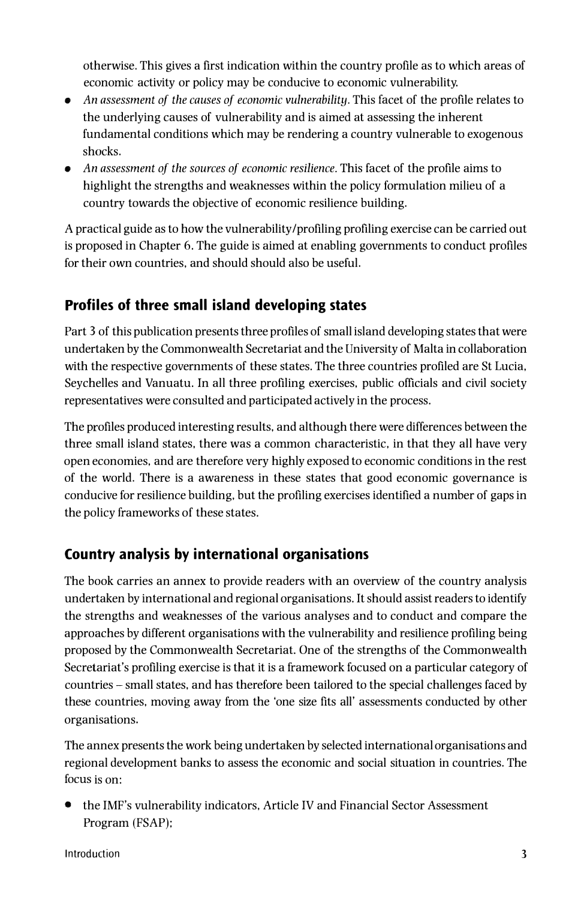otherwise. This gives a first indication within the country profile as to which areas of economic activity or policy may be conducive to economic vulnerability.

- *An assessment of the causes of economic vulnerability.* This facet of the profile relates to the underlying causes of vulnerability and is aimed at assessing the inherent fundamental conditions which may be rendering a country vulnerable to exogenous shocks.
- *An assessment of the sources of economic resilience.* This facet of the profile aims to highlight the strengths and weaknesses within the policy formulation milieu of a country towards the objective of economic resilience building.

A practical guide as to how the vulnerability/profiling profiling exercise can be carried out is proposed in Chapter 6. The guide is aimed at enabling governments to conduct profiles for their own countries, and should should also be useful.

# **Profiles of three small island developing states**

Part 3 of this publication presents three profiles of small island developing states that were undertaken by the Commonwealth Secretariat and the University of Malta in collaboration with the respective governments of these states. The three countries profiled are St Lucia, Seychelles and Vanuatu. In all three profiling exercises, public officials and civil society representatives were consulted and participated actively in the process.

The profiles produced interesting results, and although there were differences between the three small island states, there was a common characteristic, in that they all have very open economies, and are therefore very highly exposed to economic conditions in the rest of the world. There is a awareness in these states that good economic governance is conducive for resilience building, but the profiling exercises identified a number of gaps in the policy frameworks of these states.

# **Country analysis by international organisations**

The book carries an annex to provide readers with an overview of the country analysis undertaken by international and regional organisations. It should assist readers to identify the strengths and weaknesses of the various analyses and to conduct and compare the approaches by different organisations with the vulnerability and resilience profiling being proposed by the Commonwealth Secretariat. One of the strengths of the Commonwealth Secretariat's profiling exercise is that it is a framework focused on a particular category of countries - small states, and has therefore been tailored to the special challenges faced by these countries, moving away from the 'one size fits all' assessments conducted by other organisations.

The annex presents the work being undertaken by selected international organisations and regional development banks to assess the economic and social situation in countries. The focus is on:

• the IMF's vulnerability indicators, Article IV and Financial Sector Assessment Program (FSAP);